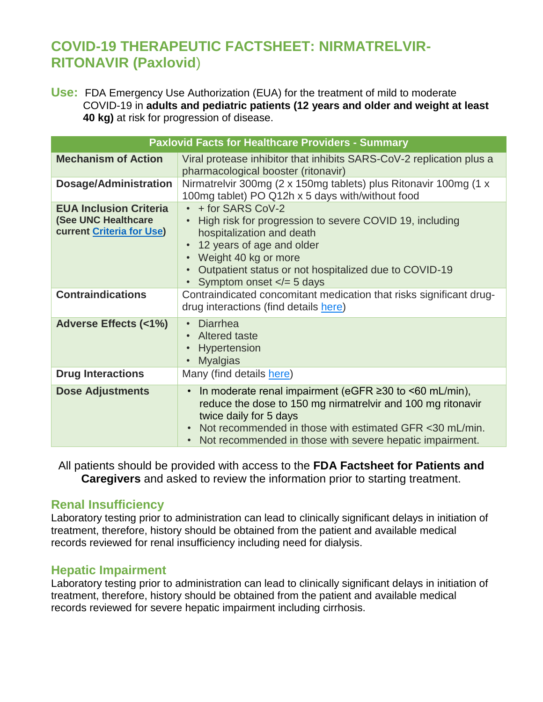# **COVID-19 THERAPEUTIC FACTSHEET: NIRMATRELVIR-RITONAVIR (Paxlovid**)

**Use:** FDA Emergency Use Authorization (EUA) for the treatment of mild to moderate COVID-19 in **adults and pediatric patients (12 years and older and weight at least 40 kg)** at risk for progression of disease.

| <b>Paxlovid Facts for Healthcare Providers - Summary</b>                                 |                                                                                                                                                                                                                                                                                                        |  |
|------------------------------------------------------------------------------------------|--------------------------------------------------------------------------------------------------------------------------------------------------------------------------------------------------------------------------------------------------------------------------------------------------------|--|
| <b>Mechanism of Action</b>                                                               | Viral protease inhibitor that inhibits SARS-CoV-2 replication plus a<br>pharmacological booster (ritonavir)                                                                                                                                                                                            |  |
| <b>Dosage/Administration</b>                                                             | Nirmatrelvir 300mg (2 x 150mg tablets) plus Ritonavir 100mg (1 x<br>100mg tablet) PO Q12h x 5 days with/without food                                                                                                                                                                                   |  |
| <b>EUA Inclusion Criteria</b><br>(See UNC Healthcare<br><b>current Criteria for Use)</b> | • + for SARS CoV-2<br>High risk for progression to severe COVID 19, including<br>$\bullet$<br>hospitalization and death<br>12 years of age and older<br>$\bullet$<br>• Weight 40 kg or more<br>Outpatient status or not hospitalized due to COVID-19<br>$\bullet$<br>Symptom onset $\lt$ = 5 days      |  |
| <b>Contraindications</b>                                                                 | Contraindicated concomitant medication that risks significant drug-<br>drug interactions (find details here)                                                                                                                                                                                           |  |
| <b>Adverse Effects (&lt;1%)</b>                                                          | <b>Diarrhea</b><br>$\bullet$<br><b>Altered taste</b><br>$\bullet$<br>Hypertension<br>$\bullet$<br><b>Myalgias</b><br>$\bullet$                                                                                                                                                                         |  |
| <b>Drug Interactions</b>                                                                 | Many (find details here)                                                                                                                                                                                                                                                                               |  |
| <b>Dose Adjustments</b>                                                                  | In moderate renal impairment (eGFR $\geq$ 30 to <60 mL/min),<br>$\bullet$<br>reduce the dose to 150 mg nirmatrelvir and 100 mg ritonavir<br>twice daily for 5 days<br>Not recommended in those with estimated GFR <30 mL/min.<br>$\bullet$<br>Not recommended in those with severe hepatic impairment. |  |

All patients should be provided with access to the **FDA Factsheet for Patients and Caregivers** and asked to review the information prior to starting treatment.

## **Renal Insufficiency**

Laboratory testing prior to administration can lead to clinically significant delays in initiation of treatment, therefore, history should be obtained from the patient and available medical records reviewed for renal insufficiency including need for dialysis.

## **Hepatic Impairment**

Laboratory testing prior to administration can lead to clinically significant delays in initiation of treatment, therefore, history should be obtained from the patient and available medical records reviewed for severe hepatic impairment including cirrhosis.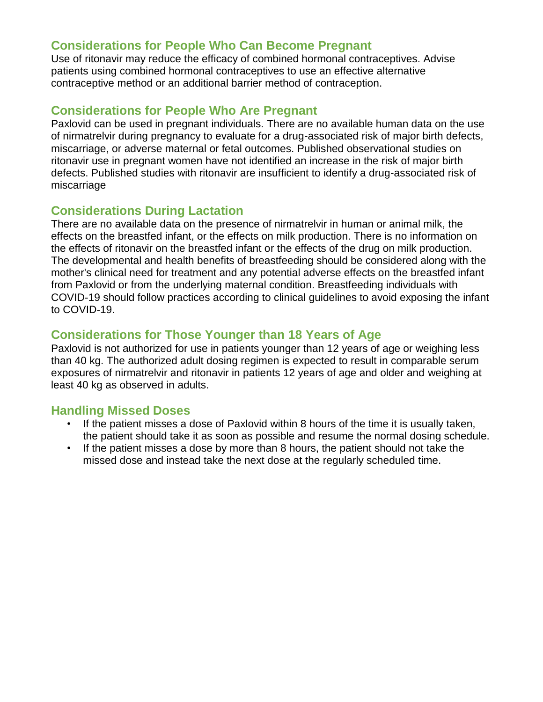## **Considerations for People Who Can Become Pregnant**

Use of ritonavir may reduce the efficacy of combined hormonal contraceptives. Advise patients using combined hormonal contraceptives to use an effective alternative contraceptive method or an additional barrier method of contraception.

## **Considerations for People Who Are Pregnant**

Paxlovid can be used in pregnant individuals. There are no available human data on the use of nirmatrelvir during pregnancy to evaluate for a drug-associated risk of major birth defects, miscarriage, or adverse maternal or fetal outcomes. Published observational studies on ritonavir use in pregnant women have not identified an increase in the risk of major birth defects. Published studies with ritonavir are insufficient to identify a drug-associated risk of miscarriage

# **Considerations During Lactation**

There are no available data on the presence of nirmatrelvir in human or animal milk, the effects on the breastfed infant, or the effects on milk production. There is no information on the effects of ritonavir on the breastfed infant or the effects of the drug on milk production. The developmental and health benefits of breastfeeding should be considered along with the mother's clinical need for treatment and any potential adverse effects on the breastfed infant from Paxlovid or from the underlying maternal condition. Breastfeeding individuals with COVID-19 should follow practices according to clinical guidelines to avoid exposing the infant to COVID-19.

# **Considerations for Those Younger than 18 Years of Age**

Paxlovid is not authorized for use in patients younger than 12 years of age or weighing less than 40 kg. The authorized adult dosing regimen is expected to result in comparable serum exposures of nirmatrelvir and ritonavir in patients 12 years of age and older and weighing at least 40 kg as observed in adults.

## **Handling Missed Doses**

- If the patient misses a dose of Paxlovid within 8 hours of the time it is usually taken, the patient should take it as soon as possible and resume the normal dosing schedule.
- If the patient misses a dose by more than 8 hours, the patient should not take the missed dose and instead take the next dose at the regularly scheduled time.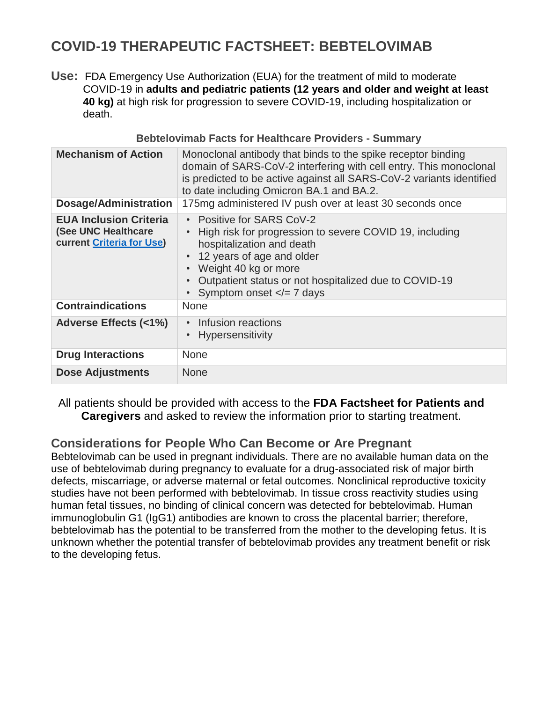# **COVID-19 THERAPEUTIC FACTSHEET: BEBTELOVIMAB**

**Use:** FDA Emergency Use Authorization (EUA) for the treatment of mild to moderate COVID-19 in **adults and pediatric patients (12 years and older and weight at least 40 kg)** at high risk for progression to severe COVID-19, including hospitalization or death.

| <b>Mechanism of Action</b>                                                               | Monoclonal antibody that binds to the spike receptor binding<br>domain of SARS-CoV-2 interfering with cell entry. This monoclonal<br>is predicted to be active against all SARS-CoV-2 variants identified<br>to date including Omicron BA.1 and BA.2.                            |
|------------------------------------------------------------------------------------------|----------------------------------------------------------------------------------------------------------------------------------------------------------------------------------------------------------------------------------------------------------------------------------|
| <b>Dosage/Administration</b>                                                             | 175mg administered IV push over at least 30 seconds once                                                                                                                                                                                                                         |
| <b>EUA Inclusion Criteria</b><br>(See UNC Healthcare<br><b>current Criteria for Use)</b> | • Positive for SARS CoV-2<br>High risk for progression to severe COVID 19, including<br>$\bullet$<br>hospitalization and death<br>• 12 years of age and older<br>• Weight 40 kg or more<br>Outpatient status or not hospitalized due to COVID-19<br>Symptom onset $\lt$ = 7 days |
| <b>Contraindications</b>                                                                 | <b>None</b>                                                                                                                                                                                                                                                                      |
| <b>Adverse Effects (&lt;1%)</b>                                                          | Infusion reactions<br>$\bullet$<br><b>Hypersensitivity</b>                                                                                                                                                                                                                       |
| <b>Drug Interactions</b>                                                                 | <b>None</b>                                                                                                                                                                                                                                                                      |
| <b>Dose Adjustments</b>                                                                  | <b>None</b>                                                                                                                                                                                                                                                                      |

#### **Bebtelovimab Facts for Healthcare Providers - Summary**

All patients should be provided with access to the **FDA Factsheet for Patients and Caregivers** and asked to review the information prior to starting treatment.

# **Considerations for People Who Can Become or Are Pregnant**

Bebtelovimab can be used in pregnant individuals. There are no available human data on the use of bebtelovimab during pregnancy to evaluate for a drug-associated risk of major birth defects, miscarriage, or adverse maternal or fetal outcomes. Nonclinical reproductive toxicity studies have not been performed with bebtelovimab. In tissue cross reactivity studies using human fetal tissues, no binding of clinical concern was detected for bebtelovimab. Human immunoglobulin G1 (IgG1) antibodies are known to cross the placental barrier; therefore, bebtelovimab has the potential to be transferred from the mother to the developing fetus. It is unknown whether the potential transfer of bebtelovimab provides any treatment benefit or risk to the developing fetus.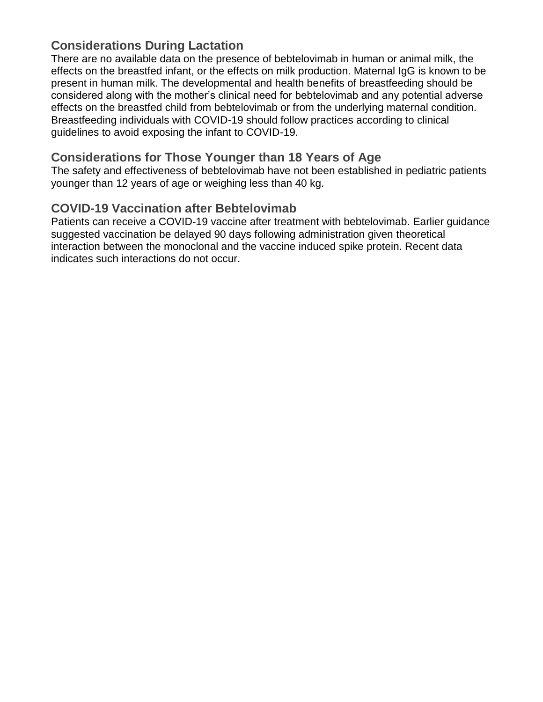# **Considerations During Lactation**

There are no available data on the presence of bebtelovimab in human or animal milk, the effects on the breastfed infant, or the effects on milk production. Maternal IgG is known to be present in human milk. The developmental and health benefits of breastfeeding should be considered along with the mother's clinical need for bebtelovimab and any potential adverse effects on the breastfed child from bebtelovimab or from the underlying maternal condition. Breastfeeding individuals with COVID-19 should follow practices according to clinical guidelines to avoid exposing the infant to COVID-19.

## **Considerations for Those Younger than 18 Years of Age**

The safety and effectiveness of bebtelovimab have not been established in pediatric patients younger than 12 years of age or weighing less than 40 kg.

# **COVID-19 Vaccination after Bebtelovimab**

Patients can receive a COVID-19 vaccine after treatment with bebtelovimab. Earlier guidance suggested vaccination be delayed 90 days following administration given theoretical interaction between the monoclonal and the vaccine induced spike protein. Recent data indicates such interactions do not occur.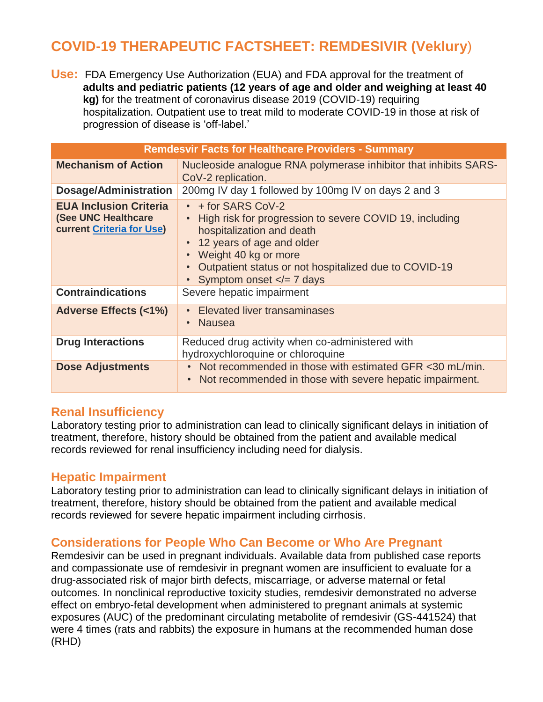# **COVID-19 THERAPEUTIC FACTSHEET: REMDESIVIR (Veklury**)

**Use:** FDA Emergency Use Authorization (EUA) and FDA approval for the treatment of **adults and pediatric patients (12 years of age and older and weighing at least 40 kg)** for the treatment of coronavirus disease 2019 (COVID-19) requiring hospitalization. Outpatient use to treat mild to moderate COVID-19 in those at risk of progression of disease is 'off-label.'

| <b>Remdesvir Facts for Healthcare Providers - Summary</b>                                |                                                                                                                                                                                                                                                                |  |
|------------------------------------------------------------------------------------------|----------------------------------------------------------------------------------------------------------------------------------------------------------------------------------------------------------------------------------------------------------------|--|
| <b>Mechanism of Action</b>                                                               | Nucleoside analogue RNA polymerase inhibitor that inhibits SARS-<br>CoV-2 replication.                                                                                                                                                                         |  |
| <b>Dosage/Administration</b>                                                             | 200mg IV day 1 followed by 100mg IV on days 2 and 3                                                                                                                                                                                                            |  |
| <b>EUA Inclusion Criteria</b><br>(See UNC Healthcare<br><b>current Criteria for Use)</b> | $\cdot$ + for SARS CoV-2<br>High risk for progression to severe COVID 19, including<br>hospitalization and death<br>12 years of age and older<br>Weight 40 kg or more<br>Outpatient status or not hospitalized due to COVID-19<br>Symptom onset $\lt$ = 7 days |  |
| <b>Contraindications</b>                                                                 | Severe hepatic impairment                                                                                                                                                                                                                                      |  |
| <b>Adverse Effects (&lt;1%)</b>                                                          | <b>Elevated liver transaminases</b><br>Nausea<br>$\bullet$                                                                                                                                                                                                     |  |
| <b>Drug Interactions</b>                                                                 | Reduced drug activity when co-administered with<br>hydroxychloroquine or chloroquine                                                                                                                                                                           |  |
| <b>Dose Adjustments</b>                                                                  | Not recommended in those with estimated GFR <30 mL/min.<br>$\bullet$<br>Not recommended in those with severe hepatic impairment.<br>$\bullet$                                                                                                                  |  |

#### **Renal Insufficiency**

Laboratory testing prior to administration can lead to clinically significant delays in initiation of treatment, therefore, history should be obtained from the patient and available medical records reviewed for renal insufficiency including need for dialysis.

## **Hepatic Impairment**

Laboratory testing prior to administration can lead to clinically significant delays in initiation of treatment, therefore, history should be obtained from the patient and available medical records reviewed for severe hepatic impairment including cirrhosis.

## **Considerations for People Who Can Become or Who Are Pregnant**

Remdesivir can be used in pregnant individuals. Available data from published case reports and compassionate use of remdesivir in pregnant women are insufficient to evaluate for a drug-associated risk of major birth defects, miscarriage, or adverse maternal or fetal outcomes. In nonclinical reproductive toxicity studies, remdesivir demonstrated no adverse effect on embryo-fetal development when administered to pregnant animals at systemic exposures (AUC) of the predominant circulating metabolite of remdesivir (GS-441524) that were 4 times (rats and rabbits) the exposure in humans at the recommended human dose (RHD)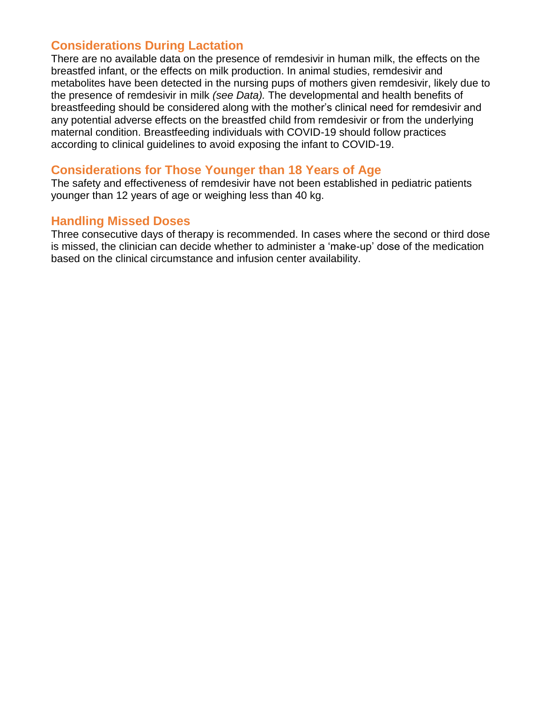## **Considerations During Lactation**

There are no available data on the presence of remdesivir in human milk, the effects on the breastfed infant, or the effects on milk production. In animal studies, remdesivir and metabolites have been detected in the nursing pups of mothers given remdesivir, likely due to the presence of remdesivir in milk *(see Data).* The developmental and health benefits of breastfeeding should be considered along with the mother's clinical need for remdesivir and any potential adverse effects on the breastfed child from remdesivir or from the underlying maternal condition. Breastfeeding individuals with COVID-19 should follow practices according to clinical guidelines to avoid exposing the infant to COVID-19.

## **Considerations for Those Younger than 18 Years of Age**

The safety and effectiveness of remdesivir have not been established in pediatric patients younger than 12 years of age or weighing less than 40 kg.

## **Handling Missed Doses**

Three consecutive days of therapy is recommended. In cases where the second or third dose is missed, the clinician can decide whether to administer a 'make-up' dose of the medication based on the clinical circumstance and infusion center availability.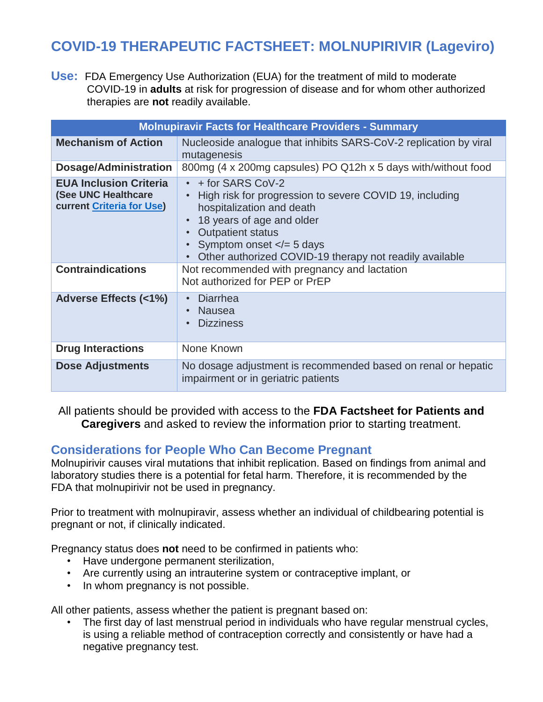# **COVID-19 THERAPEUTIC FACTSHEET: MOLNUPIRIVIR (Lageviro)**

**Use:** FDA Emergency Use Authorization (EUA) for the treatment of mild to moderate COVID-19 in **adults** at risk for progression of disease and for whom other authorized therapies are **not** readily available.

| <b>Molnupiravir Facts for Healthcare Providers - Summary</b>                             |                                                                                                                                                                                                                                                                                                                                       |  |
|------------------------------------------------------------------------------------------|---------------------------------------------------------------------------------------------------------------------------------------------------------------------------------------------------------------------------------------------------------------------------------------------------------------------------------------|--|
| <b>Mechanism of Action</b>                                                               | Nucleoside analogue that inhibits SARS-CoV-2 replication by viral<br>mutagenesis                                                                                                                                                                                                                                                      |  |
| Dosage/Administration                                                                    | 800mg (4 x 200mg capsules) PO Q12h x 5 days with/without food                                                                                                                                                                                                                                                                         |  |
| <b>EUA Inclusion Criteria</b><br>(See UNC Healthcare<br><b>current Criteria for Use)</b> | $\cdot$ + for SARS CoV-2<br>High risk for progression to severe COVID 19, including<br>$\bullet$<br>hospitalization and death<br>18 years of age and older<br>$\bullet$<br><b>Outpatient status</b><br>$\bullet$<br>Symptom onset $\lt$ = 5 days<br>$\bullet$<br>Other authorized COVID-19 therapy not readily available<br>$\bullet$ |  |
| <b>Contraindications</b>                                                                 | Not recommended with pregnancy and lactation<br>Not authorized for PEP or PrEP                                                                                                                                                                                                                                                        |  |
| <b>Adverse Effects (&lt;1%)</b>                                                          | Diarrhea<br>$\bullet$<br>Nausea<br>$\bullet$<br><b>Dizziness</b><br>$\bullet$                                                                                                                                                                                                                                                         |  |
| <b>Drug Interactions</b>                                                                 | None Known                                                                                                                                                                                                                                                                                                                            |  |
| <b>Dose Adjustments</b>                                                                  | No dosage adjustment is recommended based on renal or hepatic<br>impairment or in geriatric patients                                                                                                                                                                                                                                  |  |

All patients should be provided with access to the **FDA Factsheet for Patients and Caregivers** and asked to review the information prior to starting treatment.

# **Considerations for People Who Can Become Pregnant**

Molnupirivir causes viral mutations that inhibit replication. Based on findings from animal and laboratory studies there is a potential for fetal harm. Therefore, it is recommended by the FDA that molnupirivir not be used in pregnancy.

Prior to treatment with molnupiravir, assess whether an individual of childbearing potential is pregnant or not, if clinically indicated.

Pregnancy status does **not** need to be confirmed in patients who:

- Have undergone permanent sterilization,
- Are currently using an intrauterine system or contraceptive implant, or
- In whom pregnancy is not possible.

All other patients, assess whether the patient is pregnant based on:

• The first day of last menstrual period in individuals who have regular menstrual cycles, is using a reliable method of contraception correctly and consistently or have had a negative pregnancy test.